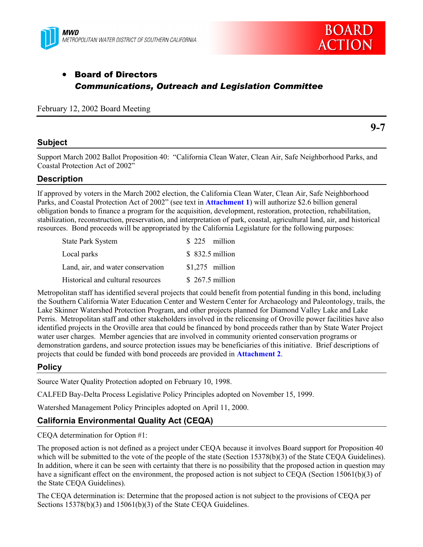



**9-7**

# • Board of Directors *Communications, Outreach and Legislation Committee*

February 12, 2002 Board Meeting

## **Subject**

Support March 2002 Ballot Proposition 40: "California Clean Water, Clean Air, Safe Neighborhood Parks, and Coastal Protection Act of 2002"

# **Description**

If approved by voters in the March 2002 election, the California Clean Water, Clean Air, Safe Neighborhood Parks, and Coastal Protection Act of 2002" (see text in **Attachment 1**) will authorize \$2.6 billion general obligation bonds to finance a program for the acquisition, development, restoration, protection, rehabilitation, stabilization, reconstruction, preservation, and interpretation of park, coastal, agricultural land, air, and historical resources. Bond proceeds will be appropriated by the California Legislature for the following purposes:

| <b>State Park System</b>          | $$225$ million   |
|-----------------------------------|------------------|
| Local parks                       | \$ 832.5 million |
| Land, air, and water conservation | $$1,275$ million |
| Historical and cultural resources | $$267.5$ million |

Metropolitan staff has identified several projects that could benefit from potential funding in this bond, including the Southern California Water Education Center and Western Center for Archaeology and Paleontology, trails, the Lake Skinner Watershed Protection Program, and other projects planned for Diamond Valley Lake and Lake Perris. Metropolitan staff and other stakeholders involved in the relicensing of Oroville power facilities have also identified projects in the Oroville area that could be financed by bond proceeds rather than by State Water Project water user charges. Member agencies that are involved in community oriented conservation programs or demonstration gardens, and source protection issues may be beneficiaries of this initiative. Brief descriptions of projects that could be funded with bond proceeds are provided in **Attachment 2**.

# **Policy**

Source Water Quality Protection adopted on February 10, 1998.

CALFED Bay-Delta Process Legislative Policy Principles adopted on November 15, 1999.

Watershed Management Policy Principles adopted on April 11, 2000.

# **California Environmental Quality Act (CEQA)**

CEQA determination for Option #1:

The proposed action is not defined as a project under CEQA because it involves Board support for Proposition 40 which will be submitted to the vote of the people of the state (Section 15378(b)(3) of the State CEQA Guidelines). In addition, where it can be seen with certainty that there is no possibility that the proposed action in question may have a significant effect on the environment, the proposed action is not subject to CEQA (Section 15061(b)(3) of the State CEQA Guidelines).

The CEQA determination is: Determine that the proposed action is not subject to the provisions of CEQA per Sections 15378(b)(3) and 15061(b)(3) of the State CEQA Guidelines.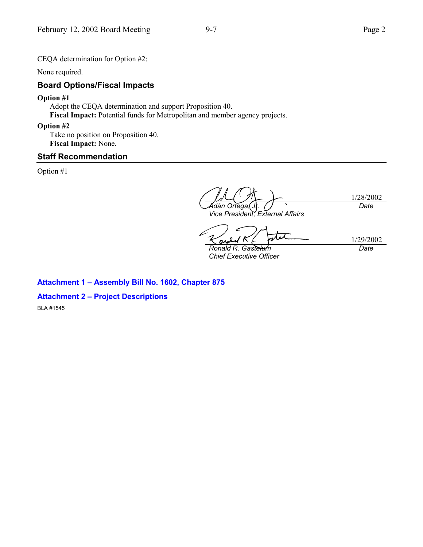CEQA determination for Option #2:

None required.

# **Board Options/Fiscal Impacts**

### **Option #1**

Adopt the CEQA determination and support Proposition 40. **Fiscal Impact:** Potential funds for Metropolitan and member agency projects.

### **Option #2**

Take no position on Proposition 40. **Fiscal Impact:** None.

## **Staff Recommendation**

Option #1

1/28/2002 *Adán Ortega, Jr. Vice President, External Affairs Date*

1/29/2002 S *Ronald R. Gastelum*

*Chief Executive Officer*

*Date*

# **Attachment 1 – Assembly Bill No. 1602, Chapter 875**

### **Attachment 2 – Project Descriptions**

BLA #1545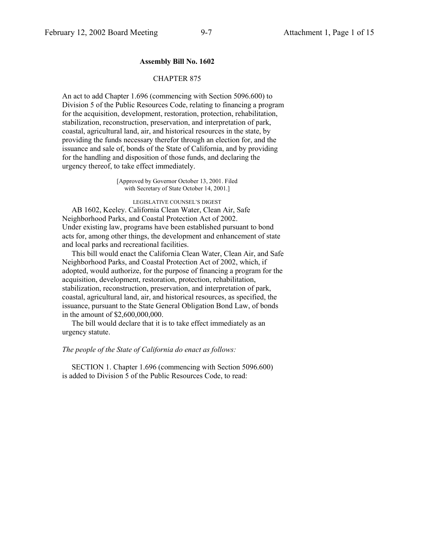#### **Assembly Bill No. 1602**

#### CHAPTER 875

An act to add Chapter 1.696 (commencing with Section 5096.600) to Division 5 of the Public Resources Code, relating to financing a program for the acquisition, development, restoration, protection, rehabilitation, stabilization, reconstruction, preservation, and interpretation of park, coastal, agricultural land, air, and historical resources in the state, by providing the funds necessary therefor through an election for, and the issuance and sale of, bonds of the State of California, and by providing for the handling and disposition of those funds, and declaring the urgency thereof, to take effect immediately.

> [Approved by Governor October 13, 2001. Filed with Secretary of State October 14, 2001.]

> > LEGISLATIVE COUNSEL'S DIGEST

 AB 1602, Keeley. California Clean Water, Clean Air, Safe Neighborhood Parks, and Coastal Protection Act of 2002. Under existing law, programs have been established pursuant to bond acts for, among other things, the development and enhancement of state and local parks and recreational facilities.

 This bill would enact the California Clean Water, Clean Air, and Safe Neighborhood Parks, and Coastal Protection Act of 2002, which, if adopted, would authorize, for the purpose of financing a program for the acquisition, development, restoration, protection, rehabilitation, stabilization, reconstruction, preservation, and interpretation of park, coastal, agricultural land, air, and historical resources, as specified, the issuance, pursuant to the State General Obligation Bond Law, of bonds in the amount of \$2,600,000,000.

 The bill would declare that it is to take effect immediately as an urgency statute.

#### *The people of the State of California do enact as follows:*

 SECTION 1. Chapter 1.696 (commencing with Section 5096.600) is added to Division 5 of the Public Resources Code, to read: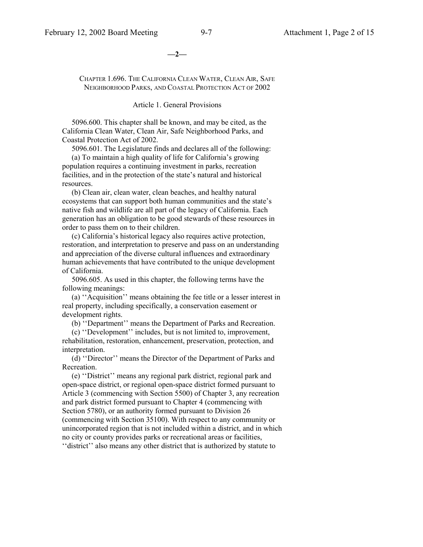**—2—**

CHAPTER 1.696. THE CALIFORNIA CLEAN WATER, CLEAN AIR, SAFE NEIGHBORHOOD PARKS, AND COASTAL PROTECTION ACT OF 2002

Article 1. General Provisions

 5096.600. This chapter shall be known, and may be cited, as the California Clean Water, Clean Air, Safe Neighborhood Parks, and Coastal Protection Act of 2002.

5096.601. The Legislature finds and declares all of the following:

 (a) To maintain a high quality of life for California's growing population requires a continuing investment in parks, recreation facilities, and in the protection of the state's natural and historical resources.

 (b) Clean air, clean water, clean beaches, and healthy natural ecosystems that can support both human communities and the state's native fish and wildlife are all part of the legacy of California. Each generation has an obligation to be good stewards of these resources in order to pass them on to their children.

 (c) California's historical legacy also requires active protection, restoration, and interpretation to preserve and pass on an understanding and appreciation of the diverse cultural influences and extraordinary human achievements that have contributed to the unique development of California.

 5096.605. As used in this chapter, the following terms have the following meanings:

 (a) ''Acquisition'' means obtaining the fee title or a lesser interest in real property, including specifically, a conservation easement or development rights.

(b) ''Department'' means the Department of Parks and Recreation.

 (c) ''Development'' includes, but is not limited to, improvement, rehabilitation, restoration, enhancement, preservation, protection, and interpretation.

 (d) ''Director'' means the Director of the Department of Parks and Recreation.

 (e) ''District'' means any regional park district, regional park and open-space district, or regional open-space district formed pursuant to Article 3 (commencing with Section 5500) of Chapter 3, any recreation and park district formed pursuant to Chapter 4 (commencing with Section 5780), or an authority formed pursuant to Division 26 (commencing with Section 35100). With respect to any community or unincorporated region that is not included within a district, and in which no city or county provides parks or recreational areas or facilities,

''district'' also means any other district that is authorized by statute to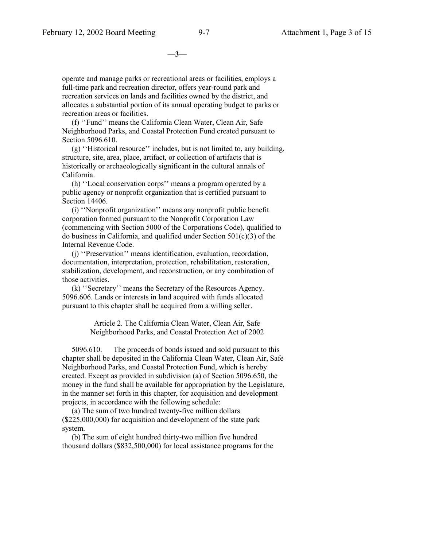**—3—**

operate and manage parks or recreational areas or facilities, employs a full-time park and recreation director, offers year-round park and recreation services on lands and facilities owned by the district, and allocates a substantial portion of its annual operating budget to parks or recreation areas or facilities.

 (f) ''Fund'' means the California Clean Water, Clean Air, Safe Neighborhood Parks, and Coastal Protection Fund created pursuant to Section 5096.610.

 (g) ''Historical resource'' includes, but is not limited to, any building, structure, site, area, place, artifact, or collection of artifacts that is historically or archaeologically significant in the cultural annals of California.

 (h) ''Local conservation corps'' means a program operated by a public agency or nonprofit organization that is certified pursuant to Section 14406.

 (i) ''Nonprofit organization'' means any nonprofit public benefit corporation formed pursuant to the Nonprofit Corporation Law (commencing with Section 5000 of the Corporations Code), qualified to do business in California, and qualified under Section 501(c)(3) of the Internal Revenue Code.

 (j) ''Preservation'' means identification, evaluation, recordation, documentation, interpretation, protection, rehabilitation, restoration, stabilization, development, and reconstruction, or any combination of those activities.

 (k) ''Secretary'' means the Secretary of the Resources Agency. 5096.606. Lands or interests in land acquired with funds allocated pursuant to this chapter shall be acquired from a willing seller.

> Article 2. The California Clean Water, Clean Air, Safe Neighborhood Parks, and Coastal Protection Act of 2002

 5096.610. The proceeds of bonds issued and sold pursuant to this chapter shall be deposited in the California Clean Water, Clean Air, Safe Neighborhood Parks, and Coastal Protection Fund, which is hereby created. Except as provided in subdivision (a) of Section 5096.650, the money in the fund shall be available for appropriation by the Legislature, in the manner set forth in this chapter, for acquisition and development projects, in accordance with the following schedule:

 (a) The sum of two hundred twenty-five million dollars (\$225,000,000) for acquisition and development of the state park system.

 (b) The sum of eight hundred thirty-two million five hundred thousand dollars (\$832,500,000) for local assistance programs for the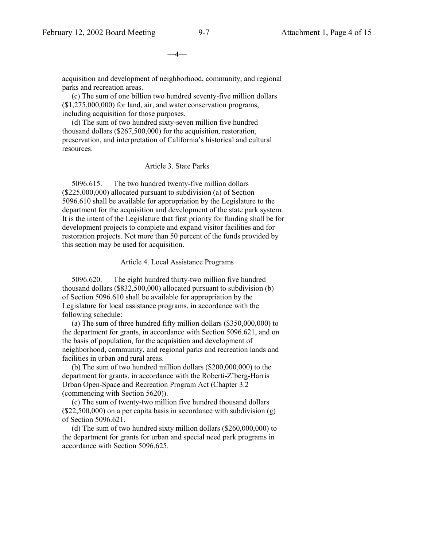**—4—**

acquisition and development of neighborhood, community, and regional parks and recreation areas.

 (c) The sum of one billion two hundred seventy-five million dollars (\$1,275,000,000) for land, air, and water conservation programs, including acquisition for those purposes.

 (d) The sum of two hundred sixty-seven million five hundred thousand dollars (\$267,500,000) for the acquisition, restoration, preservation, and interpretation of California's historical and cultural resources.

#### Article 3. State Parks

 5096.615. The two hundred twenty-five million dollars (\$225,000,000) allocated pursuant to subdivision (a) of Section 5096.610 shall be available for appropriation by the Legislature to the department for the acquisition and development of the state park system. It is the intent of the Legislature that first priority for funding shall be for development projects to complete and expand visitor facilities and for restoration projects. Not more than 50 percent of the funds provided by this section may be used for acquisition.

#### Article 4. Local Assistance Programs

 5096.620. The eight hundred thirty-two million five hundred thousand dollars (\$832,500,000) allocated pursuant to subdivision (b) of Section 5096.610 shall be available for appropriation by the Legislature for local assistance programs, in accordance with the following schedule:

 (a) The sum of three hundred fifty million dollars (\$350,000,000) to the department for grants, in accordance with Section 5096.621, and on the basis of population, for the acquisition and development of neighborhood, community, and regional parks and recreation lands and facilities in urban and rural areas.

 (b) The sum of two hundred million dollars (\$200,000,000) to the department for grants, in accordance with the Roberti-Z'berg-Harris Urban Open-Space and Recreation Program Act (Chapter 3.2 (commencing with Section 5620)).

 (c) The sum of twenty-two million five hundred thousand dollars  $($22,500,000)$  on a per capita basis in accordance with subdivision  $(g)$ of Section 5096.621.

 (d) The sum of two hundred sixty million dollars (\$260,000,000) to the department for grants for urban and special need park programs in accordance with Section 5096.625.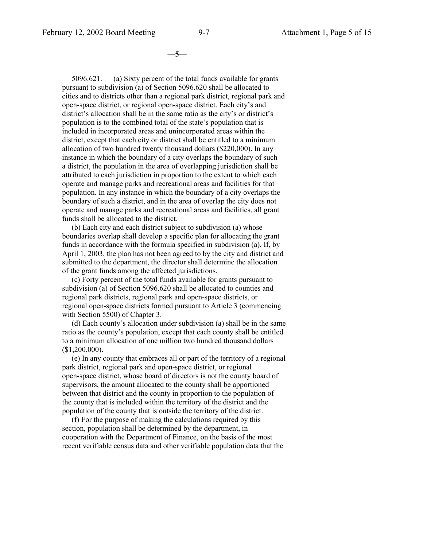**—5—**

 5096.621. (a) Sixty percent of the total funds available for grants pursuant to subdivision (a) of Section 5096.620 shall be allocated to cities and to districts other than a regional park district, regional park and open-space district, or regional open-space district. Each city's and district's allocation shall be in the same ratio as the city's or district's population is to the combined total of the state's population that is included in incorporated areas and unincorporated areas within the district, except that each city or district shall be entitled to a minimum allocation of two hundred twenty thousand dollars (\$220,000). In any instance in which the boundary of a city overlaps the boundary of such a district, the population in the area of overlapping jurisdiction shall be attributed to each jurisdiction in proportion to the extent to which each operate and manage parks and recreational areas and facilities for that population. In any instance in which the boundary of a city overlaps the boundary of such a district, and in the area of overlap the city does not operate and manage parks and recreational areas and facilities, all grant funds shall be allocated to the district.

 (b) Each city and each district subject to subdivision (a) whose boundaries overlap shall develop a specific plan for allocating the grant funds in accordance with the formula specified in subdivision (a). If, by April 1, 2003, the plan has not been agreed to by the city and district and submitted to the department, the director shall determine the allocation of the grant funds among the affected jurisdictions.

 (c) Forty percent of the total funds available for grants pursuant to subdivision (a) of Section 5096.620 shall be allocated to counties and regional park districts, regional park and open-space districts, or regional open-space districts formed pursuant to Article 3 (commencing with Section 5500) of Chapter 3.

 (d) Each county's allocation under subdivision (a) shall be in the same ratio as the county's population, except that each county shall be entitled to a minimum allocation of one million two hundred thousand dollars  $($1,200,000)$ .

 (e) In any county that embraces all or part of the territory of a regional park district, regional park and open-space district, or regional open-space district, whose board of directors is not the county board of supervisors, the amount allocated to the county shall be apportioned between that district and the county in proportion to the population of the county that is included within the territory of the district and the population of the county that is outside the territory of the district.

 (f) For the purpose of making the calculations required by this section, population shall be determined by the department, in cooperation with the Department of Finance, on the basis of the most recent verifiable census data and other verifiable population data that the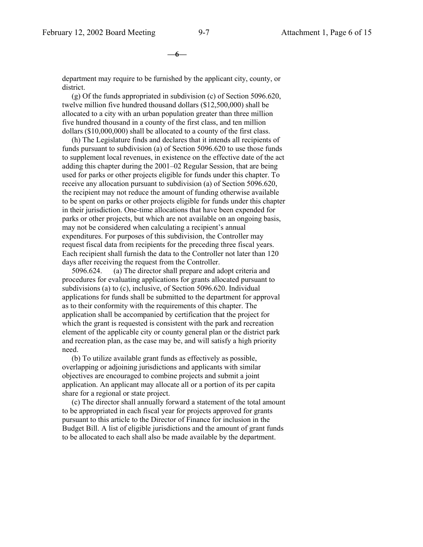**—6—**

department may require to be furnished by the applicant city, county, or district.

 (g) Of the funds appropriated in subdivision (c) of Section 5096.620, twelve million five hundred thousand dollars (\$12,500,000) shall be allocated to a city with an urban population greater than three million five hundred thousand in a county of the first class, and ten million dollars (\$10,000,000) shall be allocated to a county of the first class.

 (h) The Legislature finds and declares that it intends all recipients of funds pursuant to subdivision (a) of Section 5096.620 to use those funds to supplement local revenues, in existence on the effective date of the act adding this chapter during the 2001–02 Regular Session, that are being used for parks or other projects eligible for funds under this chapter. To receive any allocation pursuant to subdivision (a) of Section 5096.620, the recipient may not reduce the amount of funding otherwise available to be spent on parks or other projects eligible for funds under this chapter in their jurisdiction. One-time allocations that have been expended for parks or other projects, but which are not available on an ongoing basis, may not be considered when calculating a recipient's annual expenditures. For purposes of this subdivision, the Controller may request fiscal data from recipients for the preceding three fiscal years. Each recipient shall furnish the data to the Controller not later than 120 days after receiving the request from the Controller.

 5096.624. (a) The director shall prepare and adopt criteria and procedures for evaluating applications for grants allocated pursuant to subdivisions (a) to (c), inclusive, of Section 5096.620. Individual applications for funds shall be submitted to the department for approval as to their conformity with the requirements of this chapter. The application shall be accompanied by certification that the project for which the grant is requested is consistent with the park and recreation element of the applicable city or county general plan or the district park and recreation plan, as the case may be, and will satisfy a high priority need.

 (b) To utilize available grant funds as effectively as possible, overlapping or adjoining jurisdictions and applicants with similar objectives are encouraged to combine projects and submit a joint application. An applicant may allocate all or a portion of its per capita share for a regional or state project.

 (c) The director shall annually forward a statement of the total amount to be appropriated in each fiscal year for projects approved for grants pursuant to this article to the Director of Finance for inclusion in the Budget Bill. A list of eligible jurisdictions and the amount of grant funds to be allocated to each shall also be made available by the department.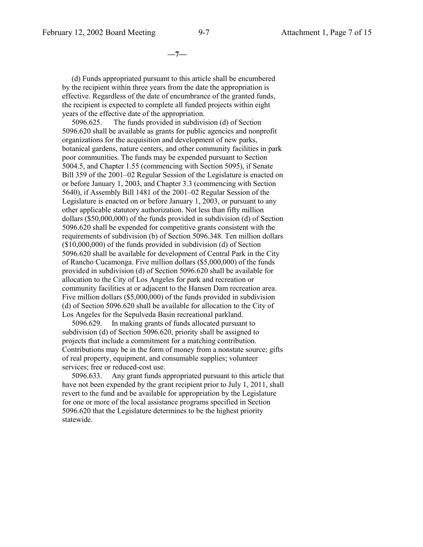**—7—**

 (d) Funds appropriated pursuant to this article shall be encumbered by the recipient within three years from the date the appropriation is effective. Regardless of the date of encumbrance of the granted funds, the recipient is expected to complete all funded projects within eight years of the effective date of the appropriation.

 5096.625. The funds provided in subdivision (d) of Section 5096.620 shall be available as grants for public agencies and nonprofit organizations for the acquisition and development of new parks, botanical gardens, nature centers, and other community facilities in park poor communities. The funds may be expended pursuant to Section 5004.5, and Chapter 1.55 (commencing with Section 5095), if Senate Bill 359 of the 2001–02 Regular Session of the Legislature is enacted on or before January 1, 2003, and Chapter 3.3 (commencing with Section 5640), if Assembly Bill 1481 of the 2001–02 Regular Session of the Legislature is enacted on or before January 1, 2003, or pursuant to any other applicable statutory authorization. Not less than fifty million dollars (\$50,000,000) of the funds provided in subdivision (d) of Section 5096.620 shall be expended for competitive grants consistent with the requirements of subdivision (b) of Section 5096.348. Ten million dollars (\$10,000,000) of the funds provided in subdivision (d) of Section 5096.620 shall be available for development of Central Park in the City of Rancho Cucamonga. Five million dollars (\$5,000,000) of the funds provided in subdivision (d) of Section 5096.620 shall be available for allocation to the City of Los Angeles for park and recreation or community facilities at or adjacent to the Hansen Dam recreation area. Five million dollars (\$5,000,000) of the funds provided in subdivision (d) of Section 5096.620 shall be available for allocation to the City of Los Angeles for the Sepulveda Basin recreational parkland.

 5096.629. In making grants of funds allocated pursuant to subdivision (d) of Section 5096.620, priority shall be assigned to projects that include a commitment for a matching contribution. Contributions may be in the form of money from a nonstate source; gifts of real property, equipment, and consumable supplies; volunteer services; free or reduced-cost use.

 5096.633. Any grant funds appropriated pursuant to this article that have not been expended by the grant recipient prior to July 1, 2011, shall revert to the fund and be available for appropriation by the Legislature for one or more of the local assistance programs specified in Section 5096.620 that the Legislature determines to be the highest priority statewide.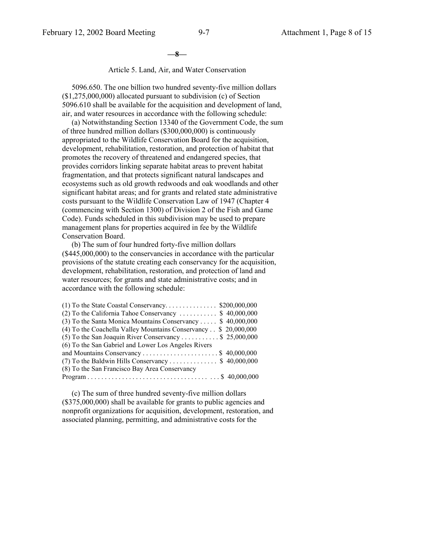**—8—**

#### Article 5. Land, Air, and Water Conservation

 5096.650. The one billion two hundred seventy-five million dollars (\$1,275,000,000) allocated pursuant to subdivision (c) of Section 5096.610 shall be available for the acquisition and development of land, air, and water resources in accordance with the following schedule:

 (a) Notwithstanding Section 13340 of the Government Code, the sum of three hundred million dollars (\$300,000,000) is continuously appropriated to the Wildlife Conservation Board for the acquisition, development, rehabilitation, restoration, and protection of habitat that promotes the recovery of threatened and endangered species, that provides corridors linking separate habitat areas to prevent habitat fragmentation, and that protects significant natural landscapes and ecosystems such as old growth redwoods and oak woodlands and other significant habitat areas; and for grants and related state administrative costs pursuant to the Wildlife Conservation Law of 1947 (Chapter 4 (commencing with Section 1300) of Division 2 of the Fish and Game Code). Funds scheduled in this subdivision may be used to prepare management plans for properties acquired in fee by the Wildlife Conservation Board.

 (b) The sum of four hundred forty-five million dollars (\$445,000,000) to the conservancies in accordance with the particular provisions of the statute creating each conservancy for the acquisition, development, rehabilitation, restoration, and protection of land and water resources; for grants and state administrative costs; and in accordance with the following schedule:

| (2) To the California Tahoe Conservancy  \$40,000,000           |  |
|-----------------------------------------------------------------|--|
| (3) To the Santa Monica Mountains Conservancy \$40,000,000      |  |
| (4) To the Coachella Valley Mountains Conservancy \$ 20,000,000 |  |
| (5) To the San Joaquin River Conservancy \$ 25,000,000          |  |
| (6) To the San Gabriel and Lower Los Angeles Rivers             |  |
|                                                                 |  |
| (7) To the Baldwin Hills Conservancy \$40,000,000               |  |
| (8) To the San Francisco Bay Area Conservancy                   |  |
|                                                                 |  |

 (c) The sum of three hundred seventy-five million dollars (\$375,000,000) shall be available for grants to public agencies and nonprofit organizations for acquisition, development, restoration, and associated planning, permitting, and administrative costs for the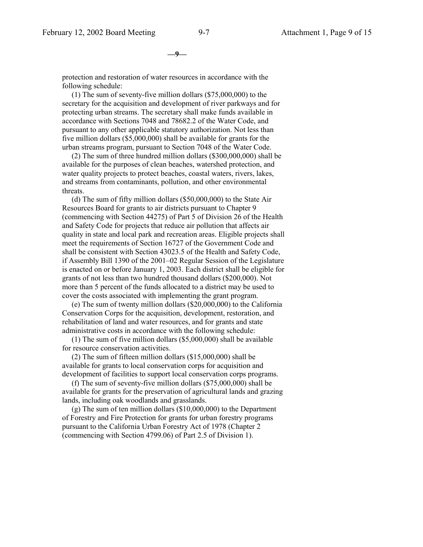**—9—**

protection and restoration of water resources in accordance with the following schedule:

 (1) The sum of seventy-five million dollars (\$75,000,000) to the secretary for the acquisition and development of river parkways and for protecting urban streams. The secretary shall make funds available in accordance with Sections 7048 and 78682.2 of the Water Code, and pursuant to any other applicable statutory authorization. Not less than five million dollars (\$5,000,000) shall be available for grants for the urban streams program, pursuant to Section 7048 of the Water Code.

 (2) The sum of three hundred million dollars (\$300,000,000) shall be available for the purposes of clean beaches, watershed protection, and water quality projects to protect beaches, coastal waters, rivers, lakes, and streams from contaminants, pollution, and other environmental threats.

 (d) The sum of fifty million dollars (\$50,000,000) to the State Air Resources Board for grants to air districts pursuant to Chapter 9 (commencing with Section 44275) of Part 5 of Division 26 of the Health and Safety Code for projects that reduce air pollution that affects air quality in state and local park and recreation areas. Eligible projects shall meet the requirements of Section 16727 of the Government Code and shall be consistent with Section 43023.5 of the Health and Safety Code, if Assembly Bill 1390 of the 2001–02 Regular Session of the Legislature is enacted on or before January 1, 2003. Each district shall be eligible for grants of not less than two hundred thousand dollars (\$200,000). Not more than 5 percent of the funds allocated to a district may be used to cover the costs associated with implementing the grant program.

 (e) The sum of twenty million dollars (\$20,000,000) to the California Conservation Corps for the acquisition, development, restoration, and rehabilitation of land and water resources, and for grants and state administrative costs in accordance with the following schedule:

 (1) The sum of five million dollars (\$5,000,000) shall be available for resource conservation activities.

 (2) The sum of fifteen million dollars (\$15,000,000) shall be available for grants to local conservation corps for acquisition and development of facilities to support local conservation corps programs.

 (f) The sum of seventy-five million dollars (\$75,000,000) shall be available for grants for the preservation of agricultural lands and grazing lands, including oak woodlands and grasslands.

 (g) The sum of ten million dollars (\$10,000,000) to the Department of Forestry and Fire Protection for grants for urban forestry programs pursuant to the California Urban Forestry Act of 1978 (Chapter 2 (commencing with Section 4799.06) of Part 2.5 of Division 1).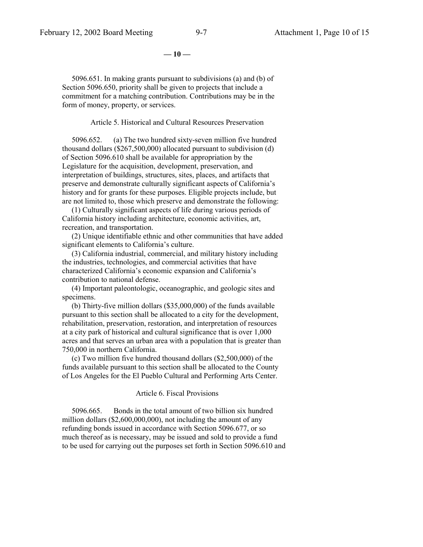**— 10 —**

 5096.651. In making grants pursuant to subdivisions (a) and (b) of Section 5096.650, priority shall be given to projects that include a commitment for a matching contribution. Contributions may be in the form of money, property, or services.

#### Article 5. Historical and Cultural Resources Preservation

 5096.652. (a) The two hundred sixty-seven million five hundred thousand dollars (\$267,500,000) allocated pursuant to subdivision (d) of Section 5096.610 shall be available for appropriation by the Legislature for the acquisition, development, preservation, and interpretation of buildings, structures, sites, places, and artifacts that preserve and demonstrate culturally significant aspects of California's history and for grants for these purposes. Eligible projects include, but are not limited to, those which preserve and demonstrate the following:

 (1) Culturally significant aspects of life during various periods of California history including architecture, economic activities, art, recreation, and transportation.

 (2) Unique identifiable ethnic and other communities that have added significant elements to California's culture.

 (3) California industrial, commercial, and military history including the industries, technologies, and commercial activities that have characterized California's economic expansion and California's contribution to national defense.

 (4) Important paleontologic, oceanographic, and geologic sites and specimens.

 (b) Thirty-five million dollars (\$35,000,000) of the funds available pursuant to this section shall be allocated to a city for the development, rehabilitation, preservation, restoration, and interpretation of resources at a city park of historical and cultural significance that is over 1,000 acres and that serves an urban area with a population that is greater than 750,000 in northern California.

 (c) Two million five hundred thousand dollars (\$2,500,000) of the funds available pursuant to this section shall be allocated to the County of Los Angeles for the El Pueblo Cultural and Performing Arts Center.

#### Article 6. Fiscal Provisions

 5096.665. Bonds in the total amount of two billion six hundred million dollars (\$2,600,000,000), not including the amount of any refunding bonds issued in accordance with Section 5096.677, or so much thereof as is necessary, may be issued and sold to provide a fund to be used for carrying out the purposes set forth in Section 5096.610 and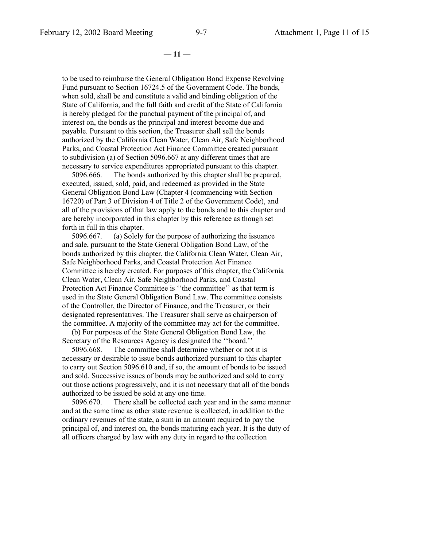**— 11 —**

to be used to reimburse the General Obligation Bond Expense Revolving Fund pursuant to Section 16724.5 of the Government Code. The bonds, when sold, shall be and constitute a valid and binding obligation of the State of California, and the full faith and credit of the State of California is hereby pledged for the punctual payment of the principal of, and interest on, the bonds as the principal and interest become due and payable. Pursuant to this section, the Treasurer shall sell the bonds authorized by the California Clean Water, Clean Air, Safe Neighborhood Parks, and Coastal Protection Act Finance Committee created pursuant to subdivision (a) of Section 5096.667 at any different times that are necessary to service expenditures appropriated pursuant to this chapter.

 5096.666. The bonds authorized by this chapter shall be prepared, executed, issued, sold, paid, and redeemed as provided in the State General Obligation Bond Law (Chapter 4 (commencing with Section 16720) of Part 3 of Division 4 of Title 2 of the Government Code), and all of the provisions of that law apply to the bonds and to this chapter and are hereby incorporated in this chapter by this reference as though set forth in full in this chapter.

 5096.667. (a) Solely for the purpose of authorizing the issuance and sale, pursuant to the State General Obligation Bond Law, of the bonds authorized by this chapter, the California Clean Water, Clean Air, Safe Neighborhood Parks, and Coastal Protection Act Finance Committee is hereby created. For purposes of this chapter, the California Clean Water, Clean Air, Safe Neighborhood Parks, and Coastal Protection Act Finance Committee is "the committee" as that term is used in the State General Obligation Bond Law. The committee consists of the Controller, the Director of Finance, and the Treasurer, or their designated representatives. The Treasurer shall serve as chairperson of the committee. A majority of the committee may act for the committee.

 (b) For purposes of the State General Obligation Bond Law, the Secretary of the Resources Agency is designated the ''board.''

 5096.668. The committee shall determine whether or not it is necessary or desirable to issue bonds authorized pursuant to this chapter to carry out Section 5096.610 and, if so, the amount of bonds to be issued and sold. Successive issues of bonds may be authorized and sold to carry out those actions progressively, and it is not necessary that all of the bonds authorized to be issued be sold at any one time.

 5096.670. There shall be collected each year and in the same manner and at the same time as other state revenue is collected, in addition to the ordinary revenues of the state, a sum in an amount required to pay the principal of, and interest on, the bonds maturing each year. It is the duty of all officers charged by law with any duty in regard to the collection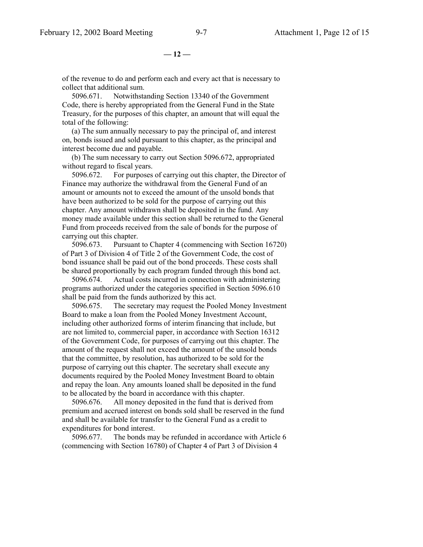**— 12 —**

of the revenue to do and perform each and every act that is necessary to collect that additional sum.

 5096.671. Notwithstanding Section 13340 of the Government Code, there is hereby appropriated from the General Fund in the State Treasury, for the purposes of this chapter, an amount that will equal the total of the following:

 (a) The sum annually necessary to pay the principal of, and interest on, bonds issued and sold pursuant to this chapter, as the principal and interest become due and payable.

 (b) The sum necessary to carry out Section 5096.672, appropriated without regard to fiscal years.

 5096.672. For purposes of carrying out this chapter, the Director of Finance may authorize the withdrawal from the General Fund of an amount or amounts not to exceed the amount of the unsold bonds that have been authorized to be sold for the purpose of carrying out this chapter. Any amount withdrawn shall be deposited in the fund. Any money made available under this section shall be returned to the General Fund from proceeds received from the sale of bonds for the purpose of carrying out this chapter.

 5096.673. Pursuant to Chapter 4 (commencing with Section 16720) of Part 3 of Division 4 of Title 2 of the Government Code, the cost of bond issuance shall be paid out of the bond proceeds. These costs shall be shared proportionally by each program funded through this bond act.

 5096.674. Actual costs incurred in connection with administering programs authorized under the categories specified in Section 5096.610 shall be paid from the funds authorized by this act.

 5096.675. The secretary may request the Pooled Money Investment Board to make a loan from the Pooled Money Investment Account, including other authorized forms of interim financing that include, but are not limited to, commercial paper, in accordance with Section 16312 of the Government Code, for purposes of carrying out this chapter. The amount of the request shall not exceed the amount of the unsold bonds that the committee, by resolution, has authorized to be sold for the purpose of carrying out this chapter. The secretary shall execute any documents required by the Pooled Money Investment Board to obtain and repay the loan. Any amounts loaned shall be deposited in the fund to be allocated by the board in accordance with this chapter.

 5096.676. All money deposited in the fund that is derived from premium and accrued interest on bonds sold shall be reserved in the fund and shall be available for transfer to the General Fund as a credit to expenditures for bond interest.

 5096.677. The bonds may be refunded in accordance with Article 6 (commencing with Section 16780) of Chapter 4 of Part 3 of Division 4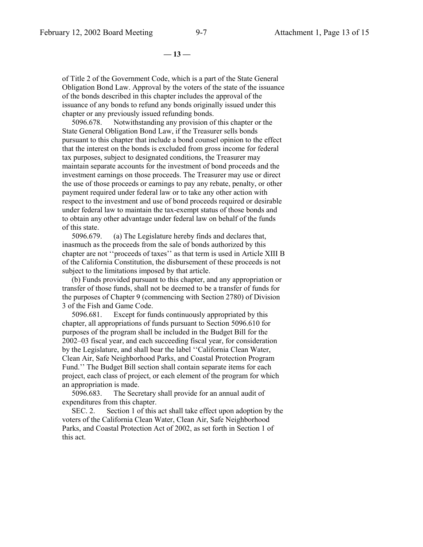**— 13 —**

of Title 2 of the Government Code, which is a part of the State General Obligation Bond Law. Approval by the voters of the state of the issuance of the bonds described in this chapter includes the approval of the issuance of any bonds to refund any bonds originally issued under this chapter or any previously issued refunding bonds.

 5096.678. Notwithstanding any provision of this chapter or the State General Obligation Bond Law, if the Treasurer sells bonds pursuant to this chapter that include a bond counsel opinion to the effect that the interest on the bonds is excluded from gross income for federal tax purposes, subject to designated conditions, the Treasurer may maintain separate accounts for the investment of bond proceeds and the investment earnings on those proceeds. The Treasurer may use or direct the use of those proceeds or earnings to pay any rebate, penalty, or other payment required under federal law or to take any other action with respect to the investment and use of bond proceeds required or desirable under federal law to maintain the tax-exempt status of those bonds and to obtain any other advantage under federal law on behalf of the funds of this state.

 5096.679. (a) The Legislature hereby finds and declares that, inasmuch as the proceeds from the sale of bonds authorized by this chapter are not ''proceeds of taxes'' as that term is used in Article XIII B of the California Constitution, the disbursement of these proceeds is not subject to the limitations imposed by that article.

 (b) Funds provided pursuant to this chapter, and any appropriation or transfer of those funds, shall not be deemed to be a transfer of funds for the purposes of Chapter 9 (commencing with Section 2780) of Division 3 of the Fish and Game Code.

 5096.681. Except for funds continuously appropriated by this chapter, all appropriations of funds pursuant to Section 5096.610 for purposes of the program shall be included in the Budget Bill for the 2002–03 fiscal year, and each succeeding fiscal year, for consideration by the Legislature, and shall bear the label ''California Clean Water, Clean Air, Safe Neighborhood Parks, and Coastal Protection Program Fund.'' The Budget Bill section shall contain separate items for each project, each class of project, or each element of the program for which an appropriation is made.

 5096.683. The Secretary shall provide for an annual audit of expenditures from this chapter.

 SEC. 2. Section 1 of this act shall take effect upon adoption by the voters of the California Clean Water, Clean Air, Safe Neighborhood Parks, and Coastal Protection Act of 2002, as set forth in Section 1 of this act.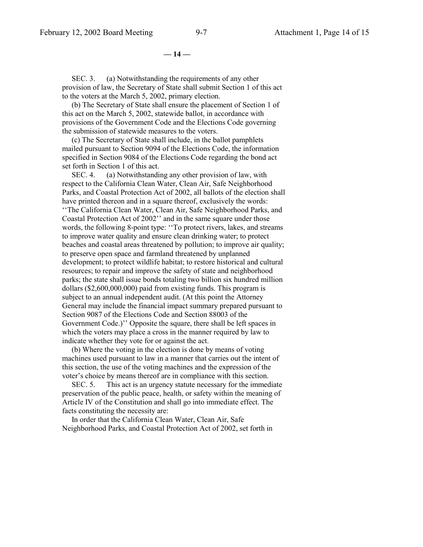**— 14 —**

SEC. 3. (a) Notwithstanding the requirements of any other provision of law, the Secretary of State shall submit Section 1 of this act to the voters at the March 5, 2002, primary election.

 (b) The Secretary of State shall ensure the placement of Section 1 of this act on the March 5, 2002, statewide ballot, in accordance with provisions of the Government Code and the Elections Code governing the submission of statewide measures to the voters.

 (c) The Secretary of State shall include, in the ballot pamphlets mailed pursuant to Section 9094 of the Elections Code, the information specified in Section 9084 of the Elections Code regarding the bond act set forth in Section 1 of this act.

SEC. 4. (a) Notwithstanding any other provision of law, with respect to the California Clean Water, Clean Air, Safe Neighborhood Parks, and Coastal Protection Act of 2002, all ballots of the election shall have printed thereon and in a square thereof, exclusively the words: ''The California Clean Water, Clean Air, Safe Neighborhood Parks, and Coastal Protection Act of 2002'' and in the same square under those words, the following 8-point type: ''To protect rivers, lakes, and streams to improve water quality and ensure clean drinking water; to protect beaches and coastal areas threatened by pollution; to improve air quality; to preserve open space and farmland threatened by unplanned development; to protect wildlife habitat; to restore historical and cultural resources; to repair and improve the safety of state and neighborhood parks; the state shall issue bonds totaling two billion six hundred million dollars (\$2,600,000,000) paid from existing funds. This program is subject to an annual independent audit. (At this point the Attorney General may include the financial impact summary prepared pursuant to Section 9087 of the Elections Code and Section 88003 of the Government Code.)'' Opposite the square, there shall be left spaces in which the voters may place a cross in the manner required by law to indicate whether they vote for or against the act.

 (b) Where the voting in the election is done by means of voting machines used pursuant to law in a manner that carries out the intent of this section, the use of the voting machines and the expression of the voter's choice by means thereof are in compliance with this section.

 SEC. 5. This act is an urgency statute necessary for the immediate preservation of the public peace, health, or safety within the meaning of Article IV of the Constitution and shall go into immediate effect. The facts constituting the necessity are:

 In order that the California Clean Water, Clean Air, Safe Neighborhood Parks, and Coastal Protection Act of 2002, set forth in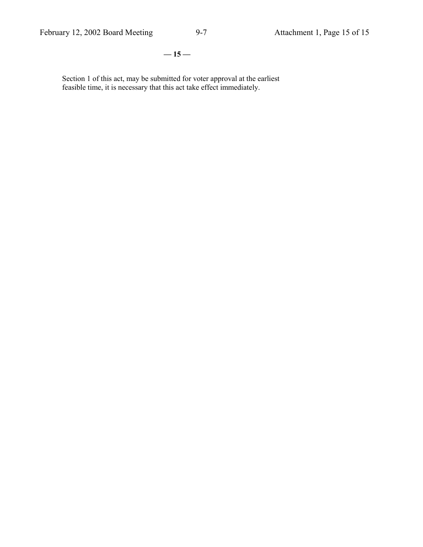**— 15 —**

Section 1 of this act, may be submitted for voter approval at the earliest feasible time, it is necessary that this act take effect immediately.